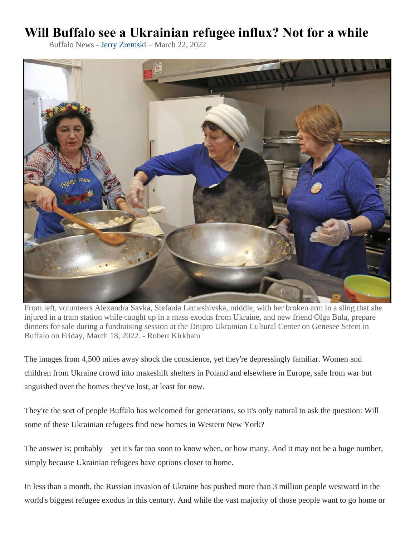## **Will Buffalo see a Ukrainian refugee influx? Not for a while**

Buffalo News - [Jerry Zremski](https://buffalonews.com/users/profile/Jerry%20Zremski) – March 22, 2022



From left, volunteers Alexandra Savka, Stefania Lemeshivska, middle, with her broken arm in a sling that she injured in a train station while caught up in a mass exodus from Ukraine, and new friend Olga Bula, prepare dinners for sale during a fundraising session at the Dnipro Ukrainian Cultural Center on Genesee Street in Buffalo on Friday, March 18, 2022. - Robert Kirkham

The images from 4,500 miles away shock the conscience, yet they're depressingly familiar. Women and children from Ukraine crowd into makeshift shelters in Poland and elsewhere in Europe, safe from war but anguished over the homes they've lost, at least for now.

They're the sort of people Buffalo has welcomed for generations, so it's only natural to ask the question: Will some of these Ukrainian refugees find new homes in Western New York?

The answer is: probably – yet it's far too soon to know when, or how many. And it may not be a huge number, simply because Ukrainian refugees have options closer to home.

In less than a month, the Russian invasion of Ukraine has pushed more than 3 million people westward in the world's biggest refugee exodus in this century. And while the vast majority of those people want to go home or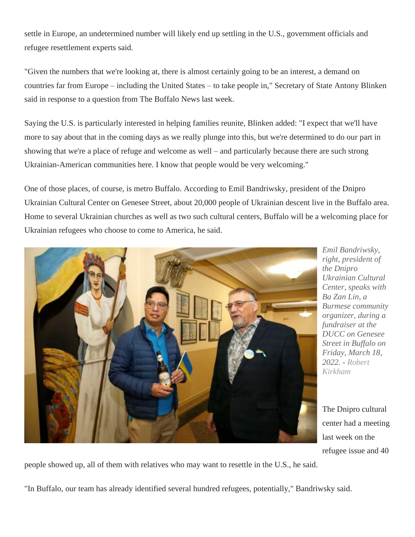settle in Europe, an undetermined number will likely end up settling in the U.S., government officials and refugee resettlement experts said.

"Given the numbers that we're looking at, there is almost certainly going to be an interest, a demand on countries far from Europe – including the United States – to take people in," Secretary of State Antony Blinken said in response to a question from The Buffalo News last week.

Saying the U.S. is particularly interested in helping families reunite, Blinken added: "I expect that we'll have more to say about that in the coming days as we really plunge into this, but we're determined to do our part in showing that we're a place of refuge and welcome as well – and particularly because there are such strong Ukrainian-American communities here. I know that people would be very welcoming."

One of those places, of course, is metro Buffalo. According to Emil Bandriwsky, president of the Dnipro Ukrainian Cultural Center on Genesee Street, about 20,000 people of Ukrainian descent live in the Buffalo area. Home to several Ukrainian churches as well as two such cultural centers, Buffalo will be a welcoming place for Ukrainian refugees who choose to come to America, he said.



*Emil Bandriwsky, right, president of the Dnipro Ukrainian Cultural Center, speaks with Ba Zan Lin, a Burmese community organizer, during a fundraiser at the DUCC on Genesee Street in Buffalo on Friday, March 18, 2022. - [Robert](https://buffalonews.com/users/profile/Robert%20Kirkham)  [Kirkham](https://buffalonews.com/users/profile/Robert%20Kirkham)*

The Dnipro cultural center had a meeting last week on the refugee issue and 40

people showed up, all of them with relatives who may want to resettle in the U.S., he said.

"In Buffalo, our team has already identified several hundred refugees, potentially," Bandriwsky said.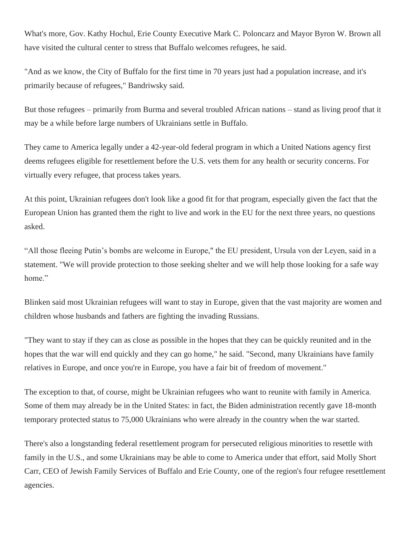What's more, Gov. Kathy Hochul, Erie County Executive Mark C. Poloncarz and Mayor Byron W. Brown all have visited the cultural center to stress that Buffalo welcomes refugees, he said.

"And as we know, the City of Buffalo for the first time in 70 years just had a population increase, and it's primarily because of refugees," Bandriwsky said.

But those refugees – primarily from Burma and several troubled African nations – stand as living proof that it may be a while before large numbers of Ukrainians settle in Buffalo.

They came to America legally under a 42-year-old federal program in which a United Nations agency first deems refugees eligible for resettlement before the U.S. vets them for any health or security concerns. For virtually every refugee, that process takes years.

At this point, Ukrainian refugees don't look like a good fit for that program, especially given the fact that the European Union has granted them the right to live and work in the EU for the next three years, no questions asked.

"All those fleeing Putin's bombs are welcome in Europe," the EU president, Ursula von der Leyen, said in a statement. "We will provide protection to those seeking shelter and we will help those looking for a safe way home."

Blinken said most Ukrainian refugees will want to stay in Europe, given that the vast majority are women and children whose husbands and fathers are fighting the invading Russians.

"They want to stay if they can as close as possible in the hopes that they can be quickly reunited and in the hopes that the war will end quickly and they can go home," he said. "Second, many Ukrainians have family relatives in Europe, and once you're in Europe, you have a fair bit of freedom of movement."

The exception to that, of course, might be Ukrainian refugees who want to reunite with family in America. Some of them may already be in the United States: in fact, the Biden administration recently gave 18-month temporary protected status to 75,000 Ukrainians who were already in the country when the war started.

There's also a longstanding federal resettlement program for persecuted religious minorities to resettle with family in the U.S., and some Ukrainians may be able to come to America under that effort, said Molly Short Carr, CEO of Jewish Family Services of Buffalo and Erie County, one of the region's four refugee resettlement agencies.